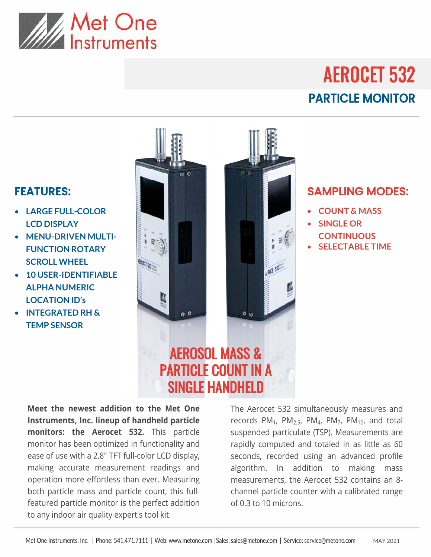

## AEROCET 532 PARTICLE MONITOR

## FEATURES:

- **LARGE FULL-COLOR LCD DISPLAY**
- **MENU-DRIVEN MULTI-FUNCTION ROTARY SCROLL WHEEL**
- **10 USER-IDENTIFIABLE ALPHA NUMERIC LOCATION ID's**
- **INTEGRATED RH & TEMP SENSOR**



## **Meet the newest addition to the Met One Instruments, Inc. lineup of handheld particle monitors: the Aerocet 532.** This particle monitor has been optimized in functionality and ease of use with a 2.8" TFT full-color LCD display, making accurate measurement readings and operation more effortless than ever. Measuring both particle mass and particle count, this fullfeatured particle monitor is the perfect addition to any indoor air quality expert's tool kit.

The Aerocet 532 simultaneously measures and records  $PM_1$ ,  $PM_{2.5}$ ,  $PM_4$ ,  $PM_7$ ,  $PM_{10}$ , and total suspended particulate (TSP). Measurements are rapidly computed and totaled in as little as 60 seconds, recorded using an advanced profile algorithm. In addition to making mass measurements, the Aerocet 532 contains an 8 channel particle counter with a calibrated range of 0.3 to 10 microns.

## SAMPLING MODES:

- **COUNT & MASS**
- **SINGLE OR CONTINUOUS**
- **SELECTABLE TIME**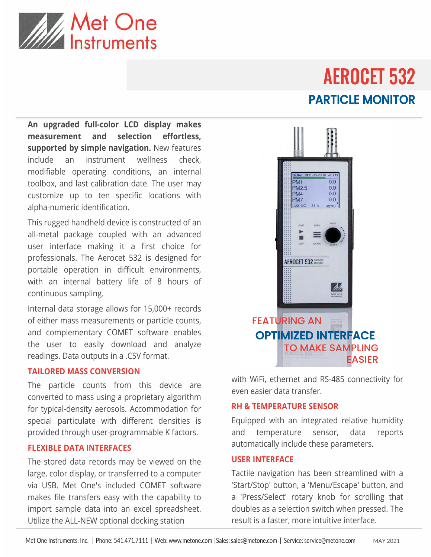

## AEROCET 532 PARTICLE MONITOR

**An upgraded full-color LCD display makes measurement and selection effortless, supported by simple navigation.** New features include an instrument wellness check, modifiable operating conditions, an internal toolbox, and last calibration date. The user may customize up to ten specific locations with alpha-numeric identification.

This rugged handheld device is constructed of an all-metal package coupled with an advanced user interface making it a first choice for professionals. The Aerocet 532 is designed for portable operation in difficult environments, with an internal battery life of 8 hours of continuous sampling.

Internal data storage allows for 15,000+ records of either mass measurements or particle counts, and complementary COMET software enables the user to easily download and analyze readings. Data outputs in a .CSV format.

## **TAILORED MASS CONVERSION**

The particle counts from this device are converted to mass using a proprietary algorithm for typical-density aerosols. Accommodation for special particulate with different densities is provided through user-programmable K factors.

## **FLEXIBLE DATA INTERFACES**

The stored data records may be viewed on the large, color display, or transferred to a computer via USB. Met One's included COMET software makes file transfers easy with the capability to import sample data into an excel spreadsheet. Utilize the ALL-NEW optional docking station



with WiFi, ethernet and RS-485 connectivity for even easier data transfer.

## **RH & TEMPERATURE SENSOR**

Equipped with an integrated relative humidity and temperature sensor, data reports automatically include these parameters.

### **USER INTERFACE**

Tactile navigation has been streamlined with a 'Start/Stop' button, a 'Menu/Escape' button, and a 'Press/Select' rotary knob for scrolling that doubles as a selection switch when pressed. The result is a faster, more intuitive interface.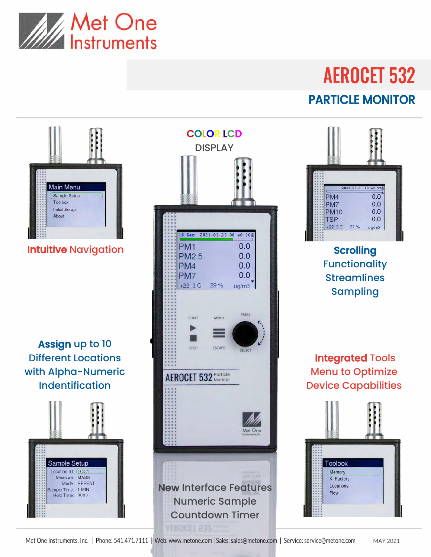

# AEROCET 532 PARTICLE MONITOR



Assign up to 10 Different Locations with Alpha-Numeric Indentification







Functionality **Streamlines** Sampling

Integrated Tools Menu to Optimize Device Capabilities